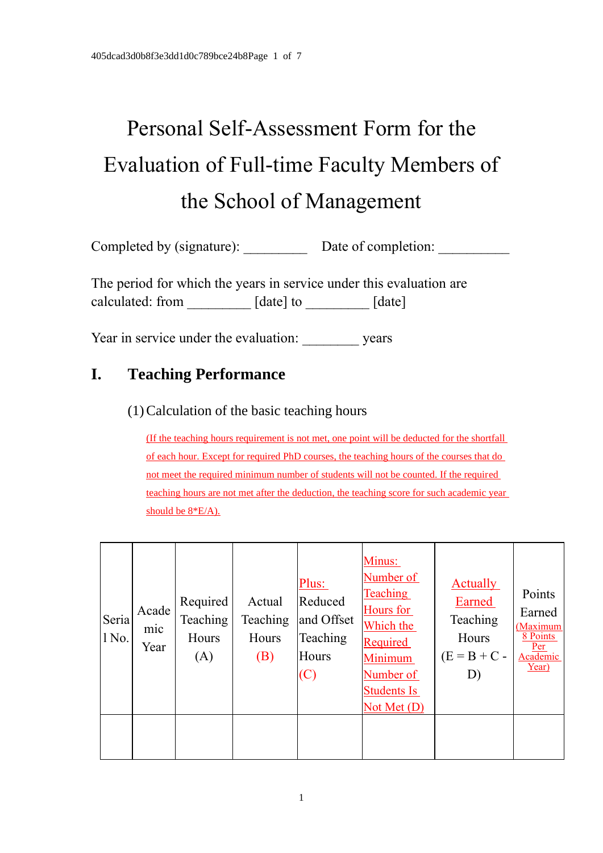# Personal Self-Assessment Form for the Evaluation of Full-time Faculty Members of the School of Management

Completed by (signature): <br>  $\Box$  Date of completion:

The period for which the years in service under this evaluation are calculated: from \_\_\_\_\_\_\_\_\_ [date] to \_\_\_\_\_\_\_\_\_ [date]

Year in service under the evaluation: years

## **I. Teaching Performance**

#### (1)Calculation of the basic teaching hours

(If the teaching hours requirement is not met, one point will be deducted for the shortfall of each hour. Except for required PhD courses, the teaching hours of the courses that do not meet the required minimum number of students will not be counted. If the required teaching hours are not met after the deduction, the teaching score for such academic year should be 8\*E/A).

| Seria<br>1 No. | Acade<br>mic<br>Year | Required<br>Teaching<br>Hours<br>(A) | Actual<br>Teaching<br>Hours<br>(B) | Plus:<br>Reduced<br>and Offset<br>Teaching<br>Hours<br>(C) | Minus:<br>Number of<br><b>Teaching</b><br>Hours for<br>Which the<br><b>Required</b><br>Minimum<br>Number of<br>Students Is<br>Not Met $(D)$ | <b>Actually</b><br>Earned<br>Teaching<br>Hours<br>$(E = B + C -$<br>D) | Points<br>Earned<br>(Maximum<br>8 Points<br>Per<br>Academic<br>Year) |
|----------------|----------------------|--------------------------------------|------------------------------------|------------------------------------------------------------|---------------------------------------------------------------------------------------------------------------------------------------------|------------------------------------------------------------------------|----------------------------------------------------------------------|
|                |                      |                                      |                                    |                                                            |                                                                                                                                             |                                                                        |                                                                      |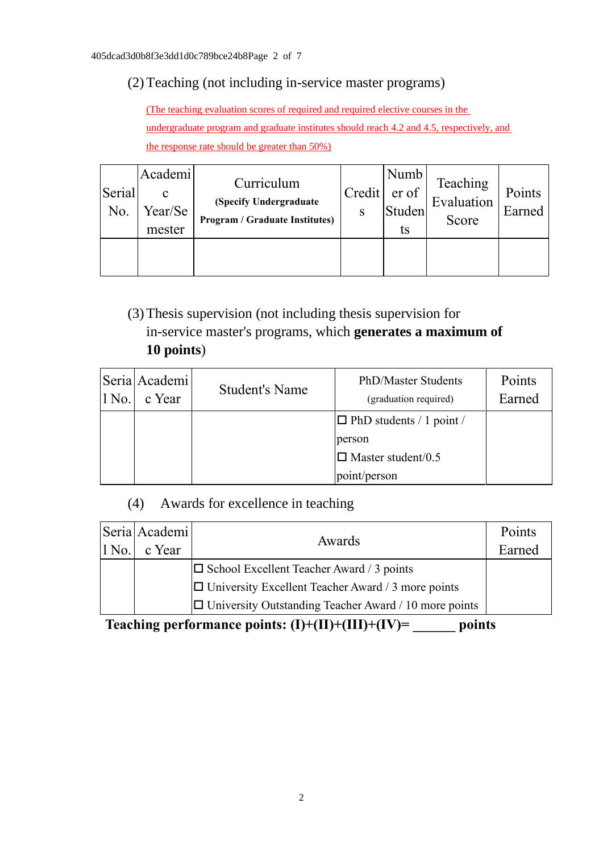## (2)Teaching (not including in-service master programs)

(The teaching evaluation scores of required and required elective courses in the undergraduate program and graduate institutes should reach 4.2 and 4.5, respectively, and the response rate should be greater than 50%)

| Serial<br>No. | Academi<br>c<br>Year/Se<br>mester | Curriculum<br>(Specify Undergraduate<br><b>Program / Graduate Institutes)</b> | Credit<br>S | Numb<br>er of<br>Studen<br>ts | Teaching<br>Evaluation<br>Score | Points<br>Earned |
|---------------|-----------------------------------|-------------------------------------------------------------------------------|-------------|-------------------------------|---------------------------------|------------------|
|               |                                   |                                                                               |             |                               |                                 |                  |

(3)Thesis supervision (not including thesis supervision for in-service master's programs, which **generates a maximum of 10 points**)

| $1$ No. | Seria Academi<br>c Year | <b>Student's Name</b> | PhD/Master Students<br>(graduation required) | Points<br>Earned |
|---------|-------------------------|-----------------------|----------------------------------------------|------------------|
|         |                         |                       | $\Box$ PhD students / 1 point /              |                  |
|         |                         |                       | person                                       |                  |
|         |                         |                       | $\Box$ Master student/0.5                    |                  |
|         |                         |                       | point/person                                 |                  |

## (4) Awards for excellence in teaching

| $ 1 N_{0.} $ | Seria Academi<br>c Year | Awards                                                        | Points<br>Earned |
|--------------|-------------------------|---------------------------------------------------------------|------------------|
|              |                         | $ \Box$ School Excellent Teacher Award / 3 points             |                  |
|              |                         | $\Box$ University Excellent Teacher Award / 3 more points     |                  |
|              |                         | $ \Box$ University Outstanding Teacher Award / 10 more points |                  |

 **Teaching performance points: (I)+(II)+(III)+(IV)= \_\_\_\_\_\_ points**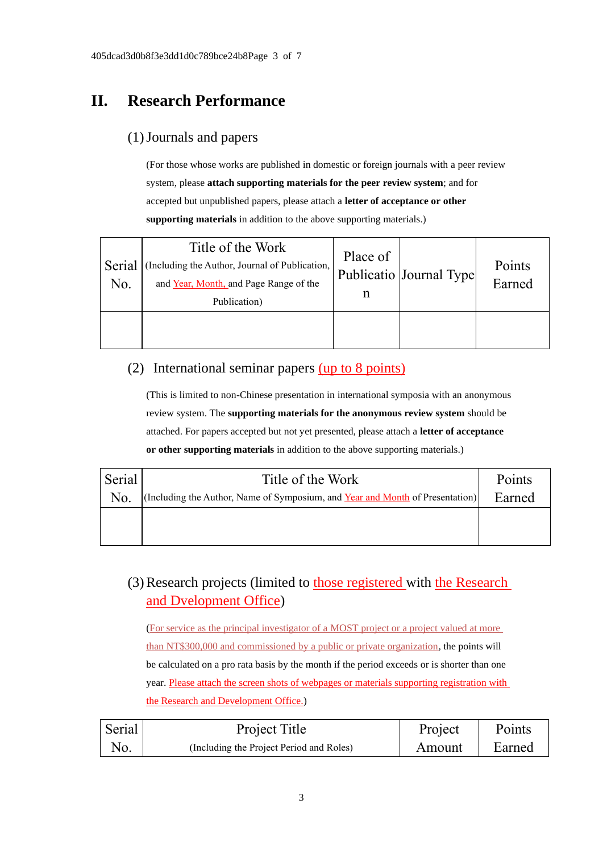# **II. Research Performance**

#### (1)Journals and papers

(For those whose works are published in domestic or foreign journals with a peer review system, please **attach supporting materials for the peer review system**; and for accepted but unpublished papers, please attach a **letter of acceptance or other supporting materials** in addition to the above supporting materials.)

| Serial<br>No. | Title of the Work<br>(Including the Author, Journal of Publication,<br>and Year, Month, and Page Range of the<br>Publication) | Place of<br>n | Publicatio Journal Type | Points<br>Earned |
|---------------|-------------------------------------------------------------------------------------------------------------------------------|---------------|-------------------------|------------------|
|               |                                                                                                                               |               |                         |                  |

## (2) International seminar papers (up to 8 points)

(This is limited to non-Chinese presentation in international symposia with an anonymous review system. The **supporting materials for the anonymous review system** should be attached. For papers accepted but not yet presented, please attach a **letter of acceptance or other supporting materials** in addition to the above supporting materials.)

| Serial         | Title of the Work                                                             | Points |
|----------------|-------------------------------------------------------------------------------|--------|
| N <sub>0</sub> | (Including the Author, Name of Symposium, and Year and Month of Presentation) | Earned |
|                |                                                                               |        |
|                |                                                                               |        |

## (3)Research projects (limited to those registered with the Research and Dvelopment Office)

(For service as the principal investigator of a MOST project or a project valued at more than NT\$300,000 and commissioned by a public or private organization, the points will be calculated on a pro rata basis by the month if the period exceeds or is shorter than one year. Please attach the screen shots of webpages or materials supporting registration with the Research and Development Office.)

| Serial | Project Title                            | Project | Points |
|--------|------------------------------------------|---------|--------|
| No.    | (Including the Project Period and Roles) | Amount  | Earned |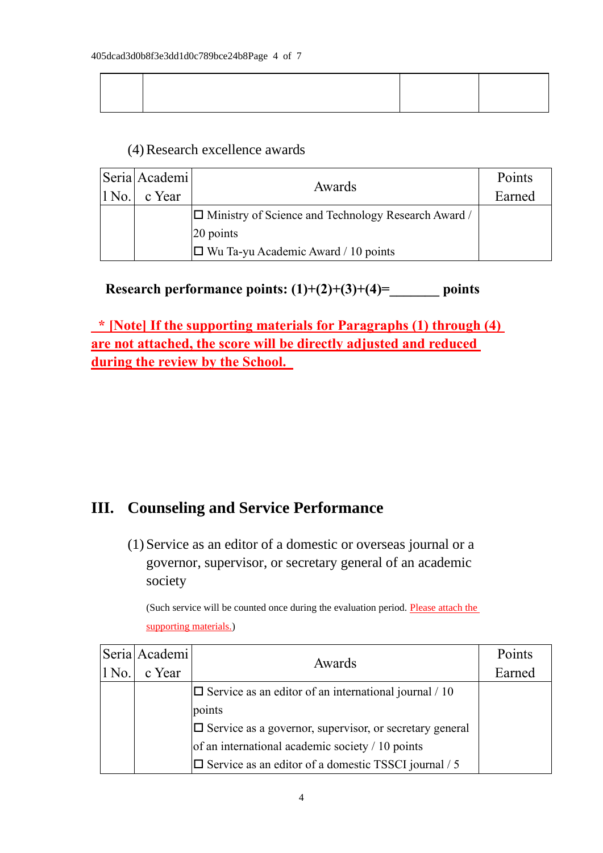#### (4)Research excellence awards

|                  | Seria Academi | Awards                                                     | Points |
|------------------|---------------|------------------------------------------------------------|--------|
| 1 N <sub>0</sub> | c Year        |                                                            | Earned |
|                  |               | $\Box$ Ministry of Science and Technology Research Award / |        |
|                  |               | 20 points                                                  |        |
|                  |               | $ \Box$ Wu Ta-yu Academic Award / 10 points                |        |

**Research performance points: (1)+(2)+(3)+(4)=\_\_\_\_\_\_\_ points**

**\* [Note] If the supporting materials for Paragraphs (1) through (4) are not attached, the score will be directly adjusted and reduced during the review by the School.** 

## **III. Counseling and Service Performance**

(1) Service as an editor of a domestic or overseas journal or a governor, supervisor, or secretary general of an academic society

(Such service will be counted once during the evaluation period. Please attach the supporting materials.)

|          | Seria Academi | Awards                                                         | Points |
|----------|---------------|----------------------------------------------------------------|--------|
| $ 1$ No. | c Year        |                                                                | Earned |
|          |               | $\Box$ Service as an editor of an international journal / 10   |        |
|          |               | points                                                         |        |
|          |               | $\Box$ Service as a governor, supervisor, or secretary general |        |
|          |               | of an international academic society $/ 10$ points             |        |
|          |               | $\Box$ Service as an editor of a domestic TSSCI journal / 5    |        |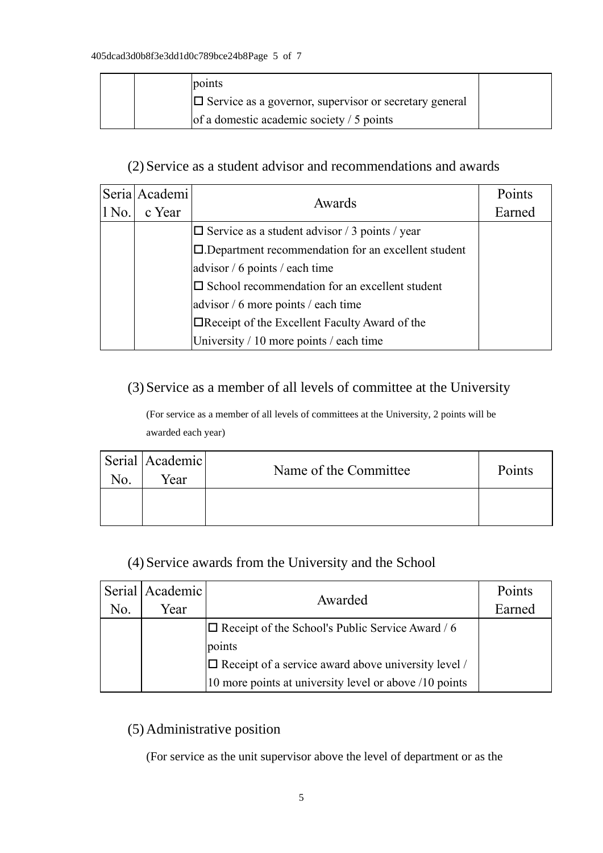|  | points                                                        |  |
|--|---------------------------------------------------------------|--|
|  | $\Box$ Service as a governor, supervisor or secretary general |  |
|  | of a domestic academic society $/ 5$ points                   |  |

### (2) Service as a student advisor and recommendations and awards

|         | Seria Academi | Awards                                                   | Points |
|---------|---------------|----------------------------------------------------------|--------|
| $1$ No. | c Year        |                                                          | Earned |
|         |               | $\Box$ Service as a student advisor / 3 points / year    |        |
|         |               | □.Department recommendation for an excellent student     |        |
|         |               | advisor / 6 points / each time                           |        |
|         |               | $\square$ School recommendation for an excellent student |        |
|         |               | advisor / 6 more points / each time                      |        |
|         |               | $\Box$ Receipt of the Excellent Faculty Award of the     |        |
|         |               | University / 10 more points / each time                  |        |

#### (3) Service as a member of all levels of committee at the University

(For service as a member of all levels of committees at the University, 2 points will be awarded each year)

| No. | Serial Academic<br>Year | Name of the Committee | Points |
|-----|-------------------------|-----------------------|--------|
|     |                         |                       |        |

## (4) Service awards from the University and the School

|     | Serial   Academic | Awarded                                                     | Points |
|-----|-------------------|-------------------------------------------------------------|--------|
| No. | Year              |                                                             | Earned |
|     |                   | $\Box$ Receipt of the School's Public Service Award / 6     |        |
|     |                   | points                                                      |        |
|     |                   | $ \Box$ Receipt of a service award above university level / |        |
|     |                   | 10 more points at university level or above /10 points      |        |

## (5) Administrative position

(For service as the unit supervisor above the level of department or as the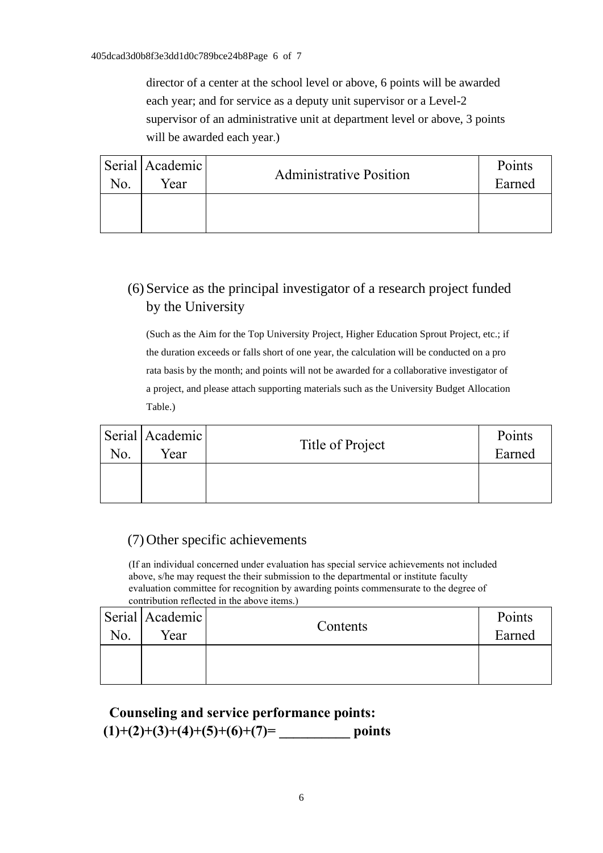director of a center at the school level or above, 6 points will be awarded each year; and for service as a deputy unit supervisor or a Level-2 supervisor of an administrative unit at department level or above, 3 points will be awarded each year.)

| N <sub>O</sub> . | Serial   Academic  <br>Year | <b>Administrative Position</b> | Points<br>Earned |
|------------------|-----------------------------|--------------------------------|------------------|
|                  |                             |                                |                  |

## (6) Service as the principal investigator of a research project funded by the University

(Such as the Aim for the Top University Project, Higher Education Sprout Project, etc.; if the duration exceeds or falls short of one year, the calculation will be conducted on a pro rata basis by the month; and points will not be awarded for a collaborative investigator of a project, and please attach supporting materials such as the University Budget Allocation Table.)

| No. | Serial Academic<br>Year | Title of Project | Points<br>Earned |
|-----|-------------------------|------------------|------------------|
|     |                         |                  |                  |

#### (7) Other specific achievements

(If an individual concerned under evaluation has special service achievements not included above, s/he may request the their submission to the departmental or institute faculty evaluation committee for recognition by awarding points commensurate to the degree of contribution reflected in the above items.)

| No. | Serial Academic<br>Year | Contents | Points<br>Earned |
|-----|-------------------------|----------|------------------|
|     |                         |          |                  |

## **Counseling and service performance points:**   $(1)+(2)+(3)+(4)+(5)+(6)+(7)=$  points